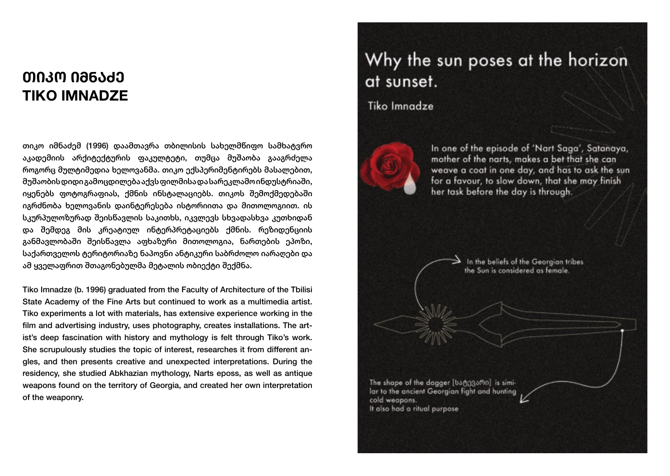## **ᲗᲘᲙᲝ ᲘᲛᲜᲐᲫᲔ TIKO IMNADZE**

თიკო იმნაძემ (1996) დაამთავრა თბილისის სახელმწიფო სამხატვრო აკადემიის არქიტექტურის ფაკულტეტი, თუმცა მუშაობა გააგრძელა როგორც მულტიმედია ხელოვანმა. თიკო ექსპერიმენტირებს მასალებით, მუშაობის დიდი გამოცდილება აქვს ფილმისა და სარეკლამო ინდუსტრიაში, იყენებს ფოტოგრაფიას, ქმნის ინსტალაციებს. თიკოს შემოქმედებაში იგრძნობა ხელოვანის დაინტერესება ისტორიითა და მითოლოგიით. ის სკურპულოზურად შეისწავლის საკითხს, იკვლევს სხვადასხვა კუთხიდან და შემდეგ მის კრეატიულ ინტერპრეტაციებს ქმნის. რეზიდენციის განმავლობაში შეისწავლა აფხაზური მითოლოგია, ნართების ეპოზი, საქართველოს ტერიტორიაზე ნაპოვნი ანტიკური საბრძოლო იარაღები და ამ ყველაფრით შთაგონებულმა მეტალის ობიექტი შექმნა.

Tiko Imnadze (b. 1996) graduated from the Faculty of Architecture of the Tbilisi State Academy of the Fine Arts but continued to work as a multimedia artist. Tiko experiments a lot with materials, has extensive experience working in the film and advertising industry, uses photography, creates installations. The artist's deep fascination with history and mythology is felt through Tiko's work. She scrupulously studies the topic of interest, researches it from different angles, and then presents creative and unexpected interpretations. During the residency, she studied Abkhazian mythology, Narts eposs, as well as antique weapons found on the territory of Georgia, and created her own interpretation of the weaponry.

# Why the sun poses at the horizon at sunset.

**Tiko Imnadze** 



In one of the episode of 'Nart Saga', Satanaya, mother of the narts, makes a bet that she can weave a coat in one day, and has to ask the sun for a favour, to slow down, that she may finish her task before the day is through.

> In the beliefs of the Georgian tribes the Sun is considered as female.

The shape of the dagger [ba@g3amo] is similar to the ancient Georgian fight and hunting cold weapons. It also had a ritual purpose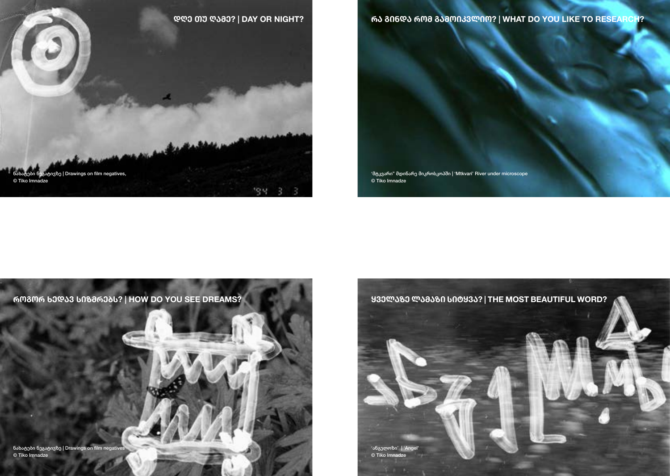

**ᲠᲐ ᲒᲘᲜᲓᲐ ᲠᲝᲛ ᲒᲐᲛᲝᲘᲙᲕᲚᲘᲝ? | WHAT DO YOU LIKE TO RESEARCH?**

'მტკვარი" მდინარე მიკროსკოპში | 'Mtkvari' River under microscope © Tiko Imnadze



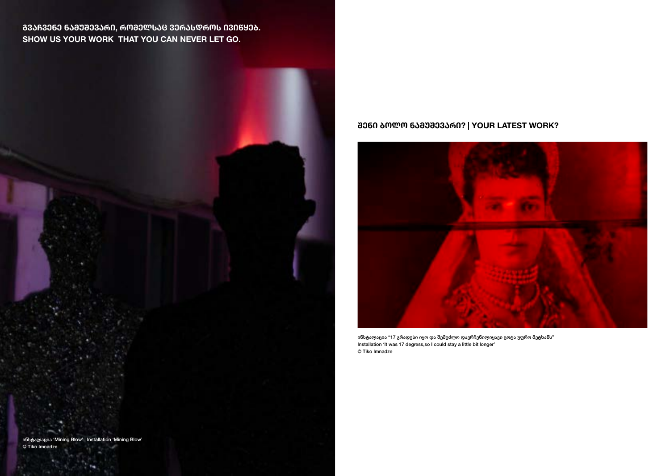**ᲒᲕᲐᲩᲕᲔᲜᲔ ᲜᲐᲛᲣᲨᲔᲕᲐᲠᲘ, ᲠᲝᲛᲔᲚᲡᲐᲪ ᲕᲔᲠᲐᲡᲓᲠᲝᲡ ᲘᲕᲘᲬᲧᲔᲑ. SHOW US YOUR WORK THAT YOU CAN NEVER LET GO.**



#### **ᲨᲔᲜᲘ ᲑᲝᲚᲝ ᲜᲐᲛᲣᲨᲔᲕᲐᲠᲘ? | YOUR LATEST WORK?**



ინსტალაცია "17 გრადუსი იყო და შემეძლო დავრჩენილიყავი ცოტა უფრო მეტხანს" Installation 'It was 17 degress,so I could stay a little bit longer' © Tiko Imnadze